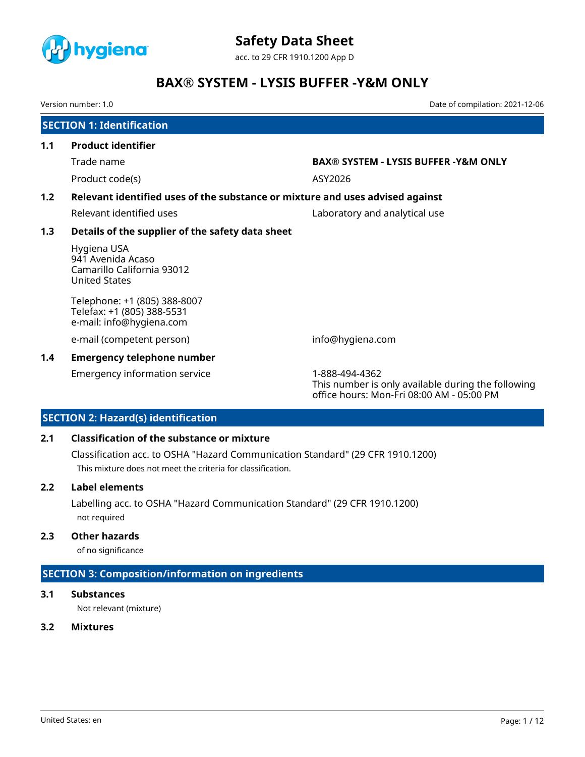

acc. to 29 CFR 1910.1200 App D

# **BAX® SYSTEM - LYSIS BUFFER -Y&M ONLY**

Version number: 1.0 Date of compilation: 2021-12-06

|     | <b>SECTION 1: Identification</b>                                                       |                                                                                                                   |  |  |  |  |
|-----|----------------------------------------------------------------------------------------|-------------------------------------------------------------------------------------------------------------------|--|--|--|--|
| 1.1 | <b>Product identifier</b>                                                              |                                                                                                                   |  |  |  |  |
|     | Trade name                                                                             | <b>BAX® SYSTEM - LYSIS BUFFER -Y&amp;M ONLY</b>                                                                   |  |  |  |  |
|     | Product code(s)                                                                        | ASY2026                                                                                                           |  |  |  |  |
| 1.2 | Relevant identified uses of the substance or mixture and uses advised against          |                                                                                                                   |  |  |  |  |
|     | Relevant identified uses                                                               | Laboratory and analytical use                                                                                     |  |  |  |  |
| 1.3 | Details of the supplier of the safety data sheet                                       |                                                                                                                   |  |  |  |  |
|     | Hygiena USA<br>941 Avenida Acaso<br>Camarillo California 93012<br><b>United States</b> |                                                                                                                   |  |  |  |  |
|     | Telephone: +1 (805) 388-8007<br>Telefax: +1 (805) 388-5531<br>e-mail: info@hygiena.com |                                                                                                                   |  |  |  |  |
|     | e-mail (competent person)                                                              | info@hygiena.com                                                                                                  |  |  |  |  |
| 1.4 | <b>Emergency telephone number</b>                                                      |                                                                                                                   |  |  |  |  |
|     | <b>Emergency information service</b>                                                   | 1-888-494-4362<br>This number is only available during the following<br>office hours: Mon-Fri 08:00 AM - 05:00 PM |  |  |  |  |

# **SECTION 2: Hazard(s) identification**

### **2.1 Classification of the substance or mixture**

Classification acc. to OSHA "Hazard Communication Standard" (29 CFR 1910.1200) This mixture does not meet the criteria for classification.

#### **2.2 Label elements**

Labelling acc. to OSHA "Hazard Communication Standard" (29 CFR 1910.1200) not required

### **2.3 Other hazards**

of no significance

# **SECTION 3: Composition/information on ingredients**

#### **3.1 Substances**

Not relevant (mixture)

### **3.2 Mixtures**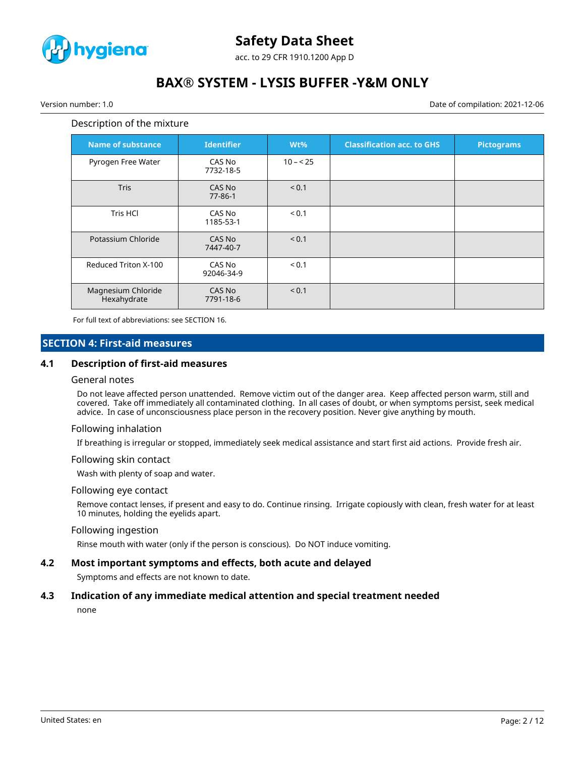

acc. to 29 CFR 1910.1200 App D

# **BAX® SYSTEM - LYSIS BUFFER -Y&M ONLY**

Version number: 1.0 Date of compilation: 2021-12-06

#### Description of the mixture

| <b>Name of substance</b>          | <b>Identifier</b>       | Wt%       | <b>Classification acc. to GHS</b> | <b>Pictograms</b> |
|-----------------------------------|-------------------------|-----------|-----------------------------------|-------------------|
| Pyrogen Free Water                | CAS No<br>7732-18-5     | $10 - 25$ |                                   |                   |
| <b>Tris</b>                       | CAS No<br>$77 - 86 - 1$ | < 0.1     |                                   |                   |
| <b>Tris HCI</b>                   | CAS No<br>1185-53-1     | < 0.1     |                                   |                   |
| Potassium Chloride                | CAS No<br>7447-40-7     | < 0.1     |                                   |                   |
| Reduced Triton X-100              | CAS No<br>92046-34-9    | < 0.1     |                                   |                   |
| Magnesium Chloride<br>Hexahydrate | CAS No<br>7791-18-6     | < 0.1     |                                   |                   |

For full text of abbreviations: see SECTION 16.

### **SECTION 4: First-aid measures**

#### **4.1 Description of first-aid measures**

#### General notes

Do not leave affected person unattended. Remove victim out of the danger area. Keep affected person warm, still and covered. Take off immediately all contaminated clothing. In all cases of doubt, or when symptoms persist, seek medical advice. In case of unconsciousness place person in the recovery position. Never give anything by mouth.

#### Following inhalation

If breathing is irregular or stopped, immediately seek medical assistance and start first aid actions. Provide fresh air.

#### Following skin contact

Wash with plenty of soap and water.

#### Following eye contact

Remove contact lenses, if present and easy to do. Continue rinsing. Irrigate copiously with clean, fresh water for at least 10 minutes, holding the eyelids apart.

#### Following ingestion

Rinse mouth with water (only if the person is conscious). Do NOT induce vomiting.

#### **4.2 Most important symptoms and effects, both acute and delayed**

Symptoms and effects are not known to date.

#### **4.3 Indication of any immediate medical attention and special treatment needed**

none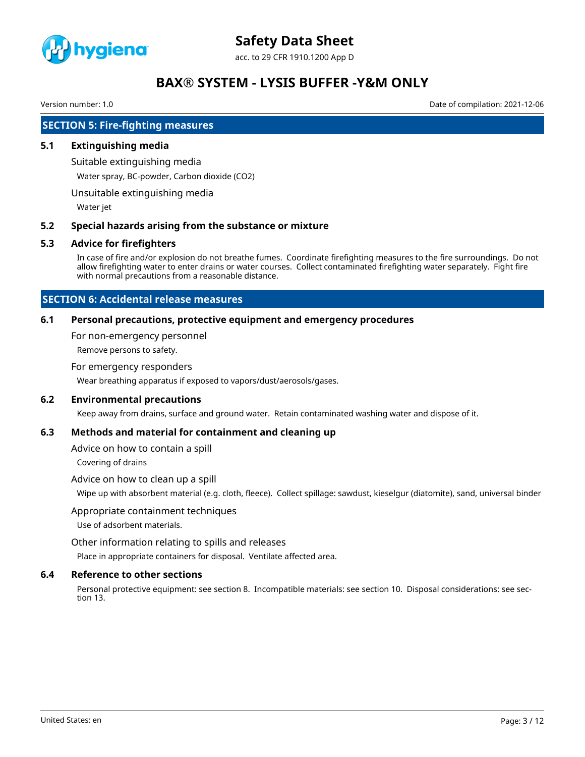

acc. to 29 CFR 1910.1200 App D

# **BAX® SYSTEM - LYSIS BUFFER -Y&M ONLY**

Version number: 1.0 Date of compilation: 2021-12-06

### **SECTION 5: Fire-fighting measures**

#### **5.1 Extinguishing media**

Suitable extinguishing media

Water spray, BC-powder, Carbon dioxide (CO2)

Unsuitable extinguishing media

Water jet

#### **5.2 Special hazards arising from the substance or mixture**

#### **5.3 Advice for firefighters**

In case of fire and/or explosion do not breathe fumes. Coordinate firefighting measures to the fire surroundings. Do not allow firefighting water to enter drains or water courses. Collect contaminated firefighting water separately. Fight fire with normal precautions from a reasonable distance.

### **SECTION 6: Accidental release measures**

#### **6.1 Personal precautions, protective equipment and emergency procedures**

For non-emergency personnel

Remove persons to safety.

#### For emergency responders

Wear breathing apparatus if exposed to vapors/dust/aerosols/gases.

### **6.2 Environmental precautions**

Keep away from drains, surface and ground water. Retain contaminated washing water and dispose of it.

#### **6.3 Methods and material for containment and cleaning up**

Advice on how to contain a spill

Covering of drains

#### Advice on how to clean up a spill

Wipe up with absorbent material (e.g. cloth, fleece). Collect spillage: sawdust, kieselgur (diatomite), sand, universal binder

#### Appropriate containment techniques

Use of adsorbent materials.

Other information relating to spills and releases

Place in appropriate containers for disposal. Ventilate affected area.

#### **6.4 Reference to other sections**

Personal protective equipment: see section 8. Incompatible materials: see section 10. Disposal considerations: see section 13.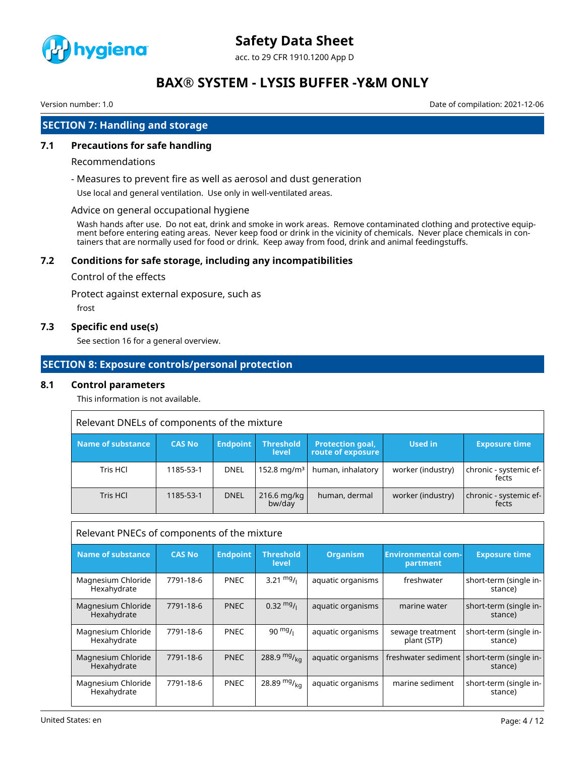

acc. to 29 CFR 1910.1200 App D

# **BAX® SYSTEM - LYSIS BUFFER -Y&M ONLY**

Version number: 1.0 Date of compilation: 2021-12-06

## **SECTION 7: Handling and storage**

### **7.1 Precautions for safe handling**

#### Recommendations

- Measures to prevent fire as well as aerosol and dust generation

Use local and general ventilation. Use only in well-ventilated areas.

#### Advice on general occupational hygiene

Wash hands after use. Do not eat, drink and smoke in work areas. Remove contaminated clothing and protective equipment before entering eating areas. Never keep food or drink in the vicinity of chemicals. Never place chemicals in containers that are normally used for food or drink. Keep away from food, drink and animal feedingstuffs.

#### **7.2 Conditions for safe storage, including any incompatibilities**

#### Control of the effects

Protect against external exposure, such as

frost

### **7.3 Specific end use(s)**

See section 16 for a general overview.

### **SECTION 8: Exposure controls/personal protection**

#### **8.1 Control parameters**

This information is not available.

| Relevant DNELs of components of the mixture |               |                 |                           |                                       |                   |                                 |
|---------------------------------------------|---------------|-----------------|---------------------------|---------------------------------------|-------------------|---------------------------------|
| Name of substance                           | <b>CAS No</b> | <b>Endpoint</b> | <b>Threshold</b><br>level | Protection goal,<br>route of exposure | <b>Used in</b>    | <b>Exposure time</b>            |
| Tris HCl                                    | 1185-53-1     | <b>DNEL</b>     | $152.8 \,\mathrm{mg/m^3}$ | human, inhalatory                     | worker (industry) | chronic - systemic ef-<br>fects |
| Tris HCl                                    | 1185-53-1     | <b>DNEL</b>     | $216.6$ mg/kg<br>bw/day   | human, dermal                         | worker (industry) | chronic - systemic ef-<br>fects |

| Relevant PNECs of components of the mixture |               |                 |                           |                   |                                       |                                                         |
|---------------------------------------------|---------------|-----------------|---------------------------|-------------------|---------------------------------------|---------------------------------------------------------|
| <b>Name of substance</b>                    | <b>CAS No</b> | <b>Endpoint</b> | <b>Threshold</b><br>level | <b>Organism</b>   | <b>Environmental com-</b><br>partment | <b>Exposure time</b>                                    |
| Magnesium Chloride<br>Hexahydrate           | 7791-18-6     | <b>PNEC</b>     | 3.21 $mg/1$               | aquatic organisms | freshwater                            | short-term (single in-<br>stance)                       |
| Magnesium Chloride<br>Hexahydrate           | 7791-18-6     | <b>PNEC</b>     | $0.32 \text{ mg}$ /       | aquatic organisms | marine water                          | short-term (single in-<br>stance)                       |
| Magnesium Chloride<br>Hexahydrate           | 7791-18-6     | <b>PNEC</b>     | $90 \frac{mg}{l}$         | aquatic organisms | sewage treatment<br>plant (STP)       | short-term (single in-<br>stance)                       |
| Magnesium Chloride<br>Hexahydrate           | 7791-18-6     | <b>PNEC</b>     | 288.9 $mg/_{ka}$          | aquatic organisms |                                       | freshwater sediment   short-term (single in-<br>stance) |
| Magnesium Chloride<br>Hexahydrate           | 7791-18-6     | <b>PNEC</b>     | 28.89 $mg/_{kq}$          | aquatic organisms | marine sediment                       | short-term (single in-<br>stance)                       |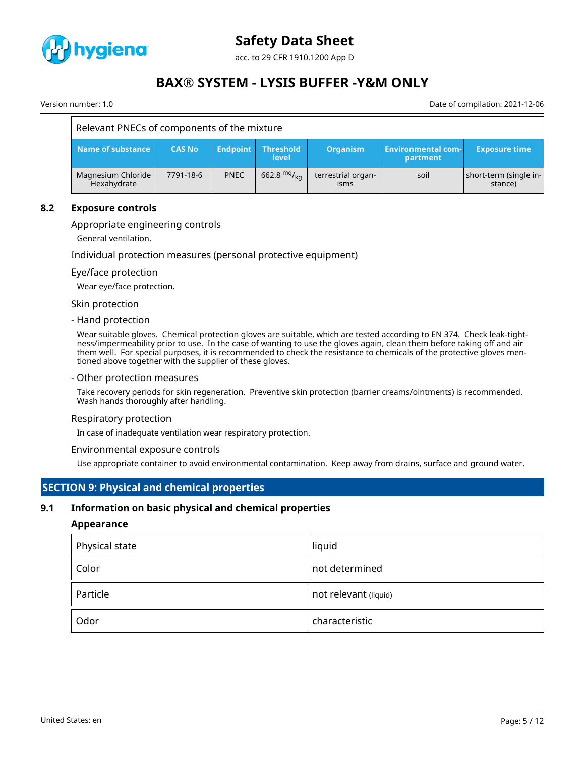

acc. to 29 CFR 1910.1200 App D

# **BAX® SYSTEM - LYSIS BUFFER -Y&M ONLY**

Version number: 1.0 Date of compilation: 2021-12-06

| Relevant PNECs of components of the mixture |               |                 |                    |                                   |                                       |                                   |
|---------------------------------------------|---------------|-----------------|--------------------|-----------------------------------|---------------------------------------|-----------------------------------|
| Name of substance                           | <b>CAS No</b> | <b>Endpoint</b> | Threshold<br>level | <b>Organism</b>                   | <b>Environmental com-</b><br>partment | <b>Exposure time</b>              |
| Magnesium Chloride<br>Hexahydrate           | 7791-18-6     | <b>PNEC</b>     | 662.8 $mg/kq$      | terrestrial organ-<br><i>isms</i> | soil                                  | short-term (single in-<br>stance) |

#### **8.2 Exposure controls**

#### Appropriate engineering controls

General ventilation.

Individual protection measures (personal protective equipment)

#### Eye/face protection

Wear eye/face protection.

Skin protection

#### - Hand protection

Wear suitable gloves. Chemical protection gloves are suitable, which are tested according to EN 374. Check leak-tightness/impermeability prior to use. In the case of wanting to use the gloves again, clean them before taking off and air them well. For special purposes, it is recommended to check the resistance to chemicals of the protective gloves mentioned above together with the supplier of these gloves.

- Other protection measures

Take recovery periods for skin regeneration. Preventive skin protection (barrier creams/ointments) is recommended. Wash hands thoroughly after handling.

#### Respiratory protection

In case of inadequate ventilation wear respiratory protection.

#### Environmental exposure controls

Use appropriate container to avoid environmental contamination. Keep away from drains, surface and ground water.

#### **SECTION 9: Physical and chemical properties**

#### **9.1 Information on basic physical and chemical properties**

#### **Appearance**

| Physical state | liquid                |
|----------------|-----------------------|
| Color          | not determined        |
| Particle       | not relevant (liquid) |
| Odor           | characteristic        |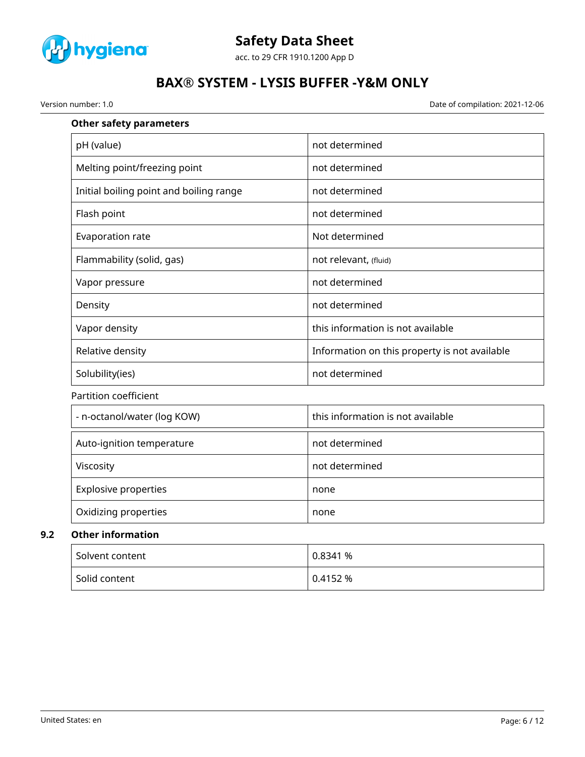

acc. to 29 CFR 1910.1200 App D

# **BAX® SYSTEM - LYSIS BUFFER -Y&M ONLY**

Version number: 1.0 Date of compilation: 2021-12-06

| <b>Other safety parameters</b>          |                                               |
|-----------------------------------------|-----------------------------------------------|
| pH (value)                              | not determined                                |
| Melting point/freezing point            | not determined                                |
| Initial boiling point and boiling range | not determined                                |
| Flash point                             | not determined                                |
| Evaporation rate                        | Not determined                                |
| Flammability (solid, gas)               | not relevant, (fluid)                         |
| Vapor pressure                          | not determined                                |
| Density                                 | not determined                                |
| Vapor density                           | this information is not available             |
| Relative density                        | Information on this property is not available |
| Solubility(ies)                         | not determined                                |
| Partition coefficient                   |                                               |
| - n-octanol/water (log KOW)             | this information is not available             |
| Auto-ignition temperature               | not determined                                |
| Viscosity                               | not determined                                |
| <b>Explosive properties</b>             | none                                          |
| Oxidizing properties                    | none                                          |
| <b>Other information</b>                |                                               |
| Solvent content                         | 0.8341 %                                      |

Solid content  $\begin{array}{|c|c|c|c|c|c|c|c|c|} \hline \end{array}$  0.4152 %

**9.2**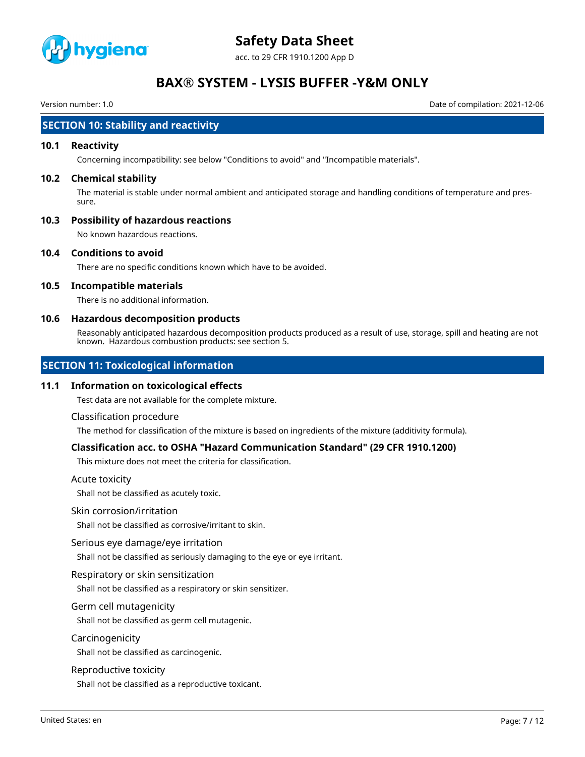

acc. to 29 CFR 1910.1200 App D

# **BAX® SYSTEM - LYSIS BUFFER -Y&M ONLY**

Version number: 1.0 Date of compilation: 2021-12-06

### **SECTION 10: Stability and reactivity**

#### **10.1 Reactivity**

Concerning incompatibility: see below "Conditions to avoid" and "Incompatible materials".

#### **10.2 Chemical stability**

The material is stable under normal ambient and anticipated storage and handling conditions of temperature and pressure.

### **10.3 Possibility of hazardous reactions**

No known hazardous reactions.

#### **10.4 Conditions to avoid**

There are no specific conditions known which have to be avoided.

### **10.5 Incompatible materials**

There is no additional information.

#### **10.6 Hazardous decomposition products**

Reasonably anticipated hazardous decomposition products produced as a result of use, storage, spill and heating are not known. Hazardous combustion products: see section 5.

### **SECTION 11: Toxicological information**

#### **11.1 Information on toxicological effects**

Test data are not available for the complete mixture.

#### Classification procedure

The method for classification of the mixture is based on ingredients of the mixture (additivity formula).

### **Classification acc. to OSHA "Hazard Communication Standard" (29 CFR 1910.1200)**

This mixture does not meet the criteria for classification.

#### Acute toxicity

Shall not be classified as acutely toxic.

#### Skin corrosion/irritation

Shall not be classified as corrosive/irritant to skin.

#### Serious eye damage/eye irritation

Shall not be classified as seriously damaging to the eye or eye irritant.

### Respiratory or skin sensitization

Shall not be classified as a respiratory or skin sensitizer.

#### Germ cell mutagenicity

Shall not be classified as germ cell mutagenic.

#### Carcinogenicity

Shall not be classified as carcinogenic.

#### Reproductive toxicity

Shall not be classified as a reproductive toxicant.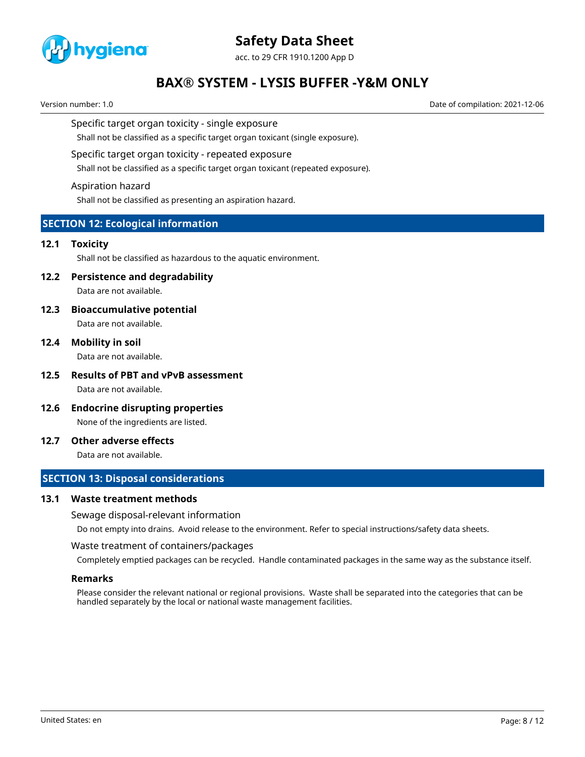

acc. to 29 CFR 1910.1200 App D

# **BAX® SYSTEM - LYSIS BUFFER -Y&M ONLY**

Version number: 1.0 Date of compilation: 2021-12-06

Specific target organ toxicity - single exposure

Shall not be classified as a specific target organ toxicant (single exposure).

#### Specific target organ toxicity - repeated exposure

Shall not be classified as a specific target organ toxicant (repeated exposure).

#### Aspiration hazard

Shall not be classified as presenting an aspiration hazard.

### **SECTION 12: Ecological information**

#### **12.1 Toxicity**

Shall not be classified as hazardous to the aquatic environment.

## **12.2 Persistence and degradability**

Data are not available.

**12.3 Bioaccumulative potential**

Data are not available.

**12.4 Mobility in soil**

Data are not available.

- **12.5 Results of PBT and vPvB assessment** Data are not available.
- **12.6 Endocrine disrupting properties** None of the ingredients are listed.
- **12.7 Other adverse effects**

Data are not available.

### **SECTION 13: Disposal considerations**

#### **13.1 Waste treatment methods**

#### Sewage disposal-relevant information

Do not empty into drains. Avoid release to the environment. Refer to special instructions/safety data sheets.

#### Waste treatment of containers/packages

Completely emptied packages can be recycled. Handle contaminated packages in the same way as the substance itself.

#### **Remarks**

Please consider the relevant national or regional provisions. Waste shall be separated into the categories that can be handled separately by the local or national waste management facilities.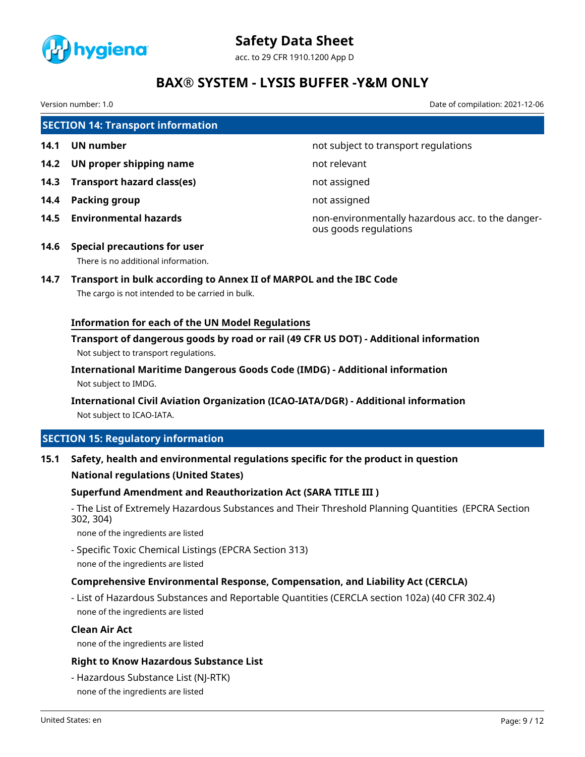

acc. to 29 CFR 1910.1200 App D

# **BAX® SYSTEM - LYSIS BUFFER -Y&M ONLY**

Version number: 1.0 Date of compilation: 2021-12-06

# **SECTION 14: Transport information 14.1 UN number 14.1 UN** number **14.2 UN proper shipping name** not relevant **14.3 Transport hazard class(es)** not assigned **14.4 Packing group not assigned**

**14.5 Environmental hazards** non-environmentally hazardous acc. to the dangerous goods regulations

**14.6 Special precautions for user** There is no additional information.

# **14.7 Transport in bulk according to Annex II of MARPOL and the IBC Code**

The cargo is not intended to be carried in bulk.

### **Information for each of the UN Model Regulations**

**Transport of dangerous goods by road or rail (49 CFR US DOT) - Additional information** Not subject to transport regulations.

**International Maritime Dangerous Goods Code (IMDG) - Additional information** Not subject to IMDG.

**International Civil Aviation Organization (ICAO-IATA/DGR) - Additional information** Not subject to ICAO-IATA.

## **SECTION 15: Regulatory information**

### **15.1 Safety, health and environmental regulations specific for the product in question**

### **National regulations (United States)**

### **Superfund Amendment and Reauthorization Act (SARA TITLE III )**

- The List of Extremely Hazardous Substances and Their Threshold Planning Quantities (EPCRA Section 302, 304)

none of the ingredients are listed

- Specific Toxic Chemical Listings (EPCRA Section 313) none of the ingredients are listed

### **Comprehensive Environmental Response, Compensation, and Liability Act (CERCLA)**

- List of Hazardous Substances and Reportable Quantities (CERCLA section 102a) (40 CFR 302.4) none of the ingredients are listed

#### **Clean Air Act**

none of the ingredients are listed

### **Right to Know Hazardous Substance List**

- Hazardous Substance List (NJ-RTK) none of the ingredients are listed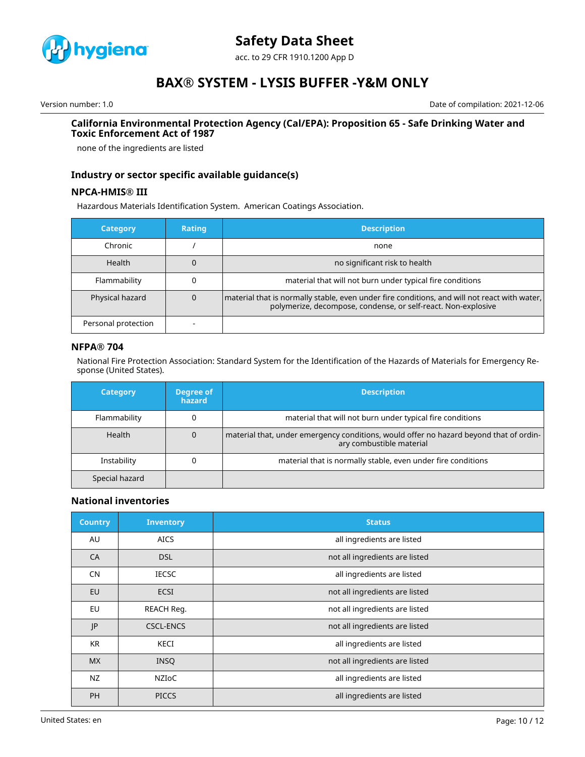

acc. to 29 CFR 1910.1200 App D

# **BAX® SYSTEM - LYSIS BUFFER -Y&M ONLY**

Version number: 1.0 Date of compilation: 2021-12-06

#### **California Environmental Protection Agency (Cal/EPA): Proposition 65 - Safe Drinking Water and Toxic Enforcement Act of 1987**

none of the ingredients are listed

### **Industry or sector specific available guidance(s)**

#### **NPCA-HMIS® III**

Hazardous Materials Identification System. American Coatings Association.

| <b>Category</b>     | Rating | <b>Description</b>                                                                                                                                              |
|---------------------|--------|-----------------------------------------------------------------------------------------------------------------------------------------------------------------|
| Chronic             |        | none                                                                                                                                                            |
| <b>Health</b>       |        | no significant risk to health                                                                                                                                   |
| Flammability        |        | material that will not burn under typical fire conditions                                                                                                       |
| Physical hazard     |        | material that is normally stable, even under fire conditions, and will not react with water,  <br>polymerize, decompose, condense, or self-react. Non-explosive |
| Personal protection |        |                                                                                                                                                                 |

#### **NFPA® 704**

National Fire Protection Association: Standard System for the Identification of the Hazards of Materials for Emergency Response (United States).

| <b>Category</b> | Degree of<br>hazard | <b>Description</b>                                                                                                 |
|-----------------|---------------------|--------------------------------------------------------------------------------------------------------------------|
| Flammability    |                     | material that will not burn under typical fire conditions                                                          |
| Health          | 0                   | material that, under emergency conditions, would offer no hazard beyond that of ordin-<br>ary combustible material |
| Instability     |                     | material that is normally stable, even under fire conditions                                                       |
| Special hazard  |                     |                                                                                                                    |

#### **National inventories**

| <b>Country</b> | <b>Inventory</b> | <b>Status</b>                  |
|----------------|------------------|--------------------------------|
| AU             | <b>AICS</b>      | all ingredients are listed     |
| CA             | <b>DSL</b>       | not all ingredients are listed |
| <b>CN</b>      | <b>IECSC</b>     | all ingredients are listed     |
| EU             | <b>ECSI</b>      | not all ingredients are listed |
| EU             | REACH Req.       | not all ingredients are listed |
| JP             | <b>CSCL-ENCS</b> | not all ingredients are listed |
| <b>KR</b>      | KECI             | all ingredients are listed     |
| <b>MX</b>      | <b>INSO</b>      | not all ingredients are listed |
| <b>NZ</b>      | <b>NZIOC</b>     | all ingredients are listed     |
| <b>PH</b>      | <b>PICCS</b>     | all ingredients are listed     |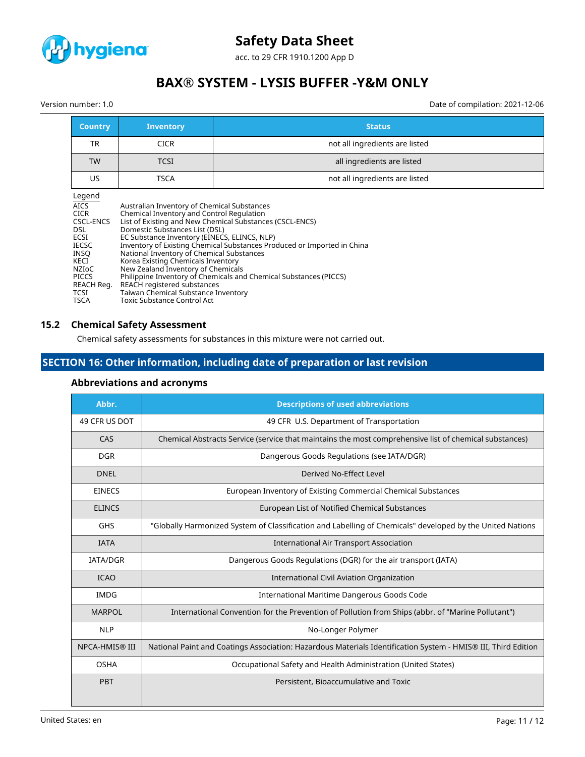

acc. to 29 CFR 1910.1200 App D

# **BAX® SYSTEM - LYSIS BUFFER -Y&M ONLY**

Version number: 1.0 Date of compilation: 2021-12-06

| <b>Country</b>                                                                                                                                                               | <b>Inventory</b>                                                                                                                                                                                                                                                                                                                                                                                                | <b>Status</b>                                                                                                                                                                                            |
|------------------------------------------------------------------------------------------------------------------------------------------------------------------------------|-----------------------------------------------------------------------------------------------------------------------------------------------------------------------------------------------------------------------------------------------------------------------------------------------------------------------------------------------------------------------------------------------------------------|----------------------------------------------------------------------------------------------------------------------------------------------------------------------------------------------------------|
| <b>TR</b>                                                                                                                                                                    | <b>CICR</b>                                                                                                                                                                                                                                                                                                                                                                                                     | not all ingredients are listed                                                                                                                                                                           |
| <b>TW</b>                                                                                                                                                                    | <b>TCSI</b>                                                                                                                                                                                                                                                                                                                                                                                                     | all ingredients are listed                                                                                                                                                                               |
| US.                                                                                                                                                                          | <b>TSCA</b>                                                                                                                                                                                                                                                                                                                                                                                                     | not all ingredients are listed                                                                                                                                                                           |
| Legend<br><b>AICS</b><br><b>CICR</b><br>CSCL-ENCS<br>DSL<br>ECSI<br><b>IECSC</b><br><b>INSO</b><br>KECI<br>NZIOC<br><b>PICCS</b><br>REACH Reg.<br><b>TCSI</b><br><b>TSCA</b> | Australian Inventory of Chemical Substances<br>Chemical Inventory and Control Regulation<br>Domestic Substances List (DSL)<br>EC Substance Inventory (EINECS, ELINCS, NLP)<br>National Inventory of Chemical Substances<br>Korea Existing Chemicals Inventory<br>New Zealand Inventory of Chemicals<br>REACH registered substances<br>Taiwan Chemical Substance Inventory<br><b>Toxic Substance Control Act</b> | List of Existing and New Chemical Substances (CSCL-ENCS)<br>Inventory of Existing Chemical Substances Produced or Imported in China<br>Philippine Inventory of Chemicals and Chemical Substances (PICCS) |

#### **15.2 Chemical Safety Assessment**

Chemical safety assessments for substances in this mixture were not carried out.

# **SECTION 16: Other information, including date of preparation or last revision**

| Abbr.                 | <b>Descriptions of used abbreviations</b>                                                                     |
|-----------------------|---------------------------------------------------------------------------------------------------------------|
| 49 CFR US DOT         | 49 CFR U.S. Department of Transportation                                                                      |
| CAS                   | Chemical Abstracts Service (service that maintains the most comprehensive list of chemical substances)        |
| <b>DGR</b>            | Dangerous Goods Regulations (see IATA/DGR)                                                                    |
| <b>DNEL</b>           | Derived No-Effect Level                                                                                       |
| <b>EINECS</b>         | European Inventory of Existing Commercial Chemical Substances                                                 |
| <b>ELINCS</b>         | European List of Notified Chemical Substances                                                                 |
| GHS                   | "Globally Harmonized System of Classification and Labelling of Chemicals" developed by the United Nations     |
| <b>IATA</b>           | <b>International Air Transport Association</b>                                                                |
| <b>IATA/DGR</b>       | Dangerous Goods Regulations (DGR) for the air transport (IATA)                                                |
| <b>ICAO</b>           | International Civil Aviation Organization                                                                     |
| <b>IMDG</b>           | International Maritime Dangerous Goods Code                                                                   |
| <b>MARPOL</b>         | International Convention for the Prevention of Pollution from Ships (abbr. of "Marine Pollutant")             |
| <b>NLP</b>            | No-Longer Polymer                                                                                             |
| <b>NPCA-HMIS® III</b> | National Paint and Coatings Association: Hazardous Materials Identification System - HMIS® III, Third Edition |
| <b>OSHA</b>           | Occupational Safety and Health Administration (United States)                                                 |
| <b>PBT</b>            | Persistent, Bioaccumulative and Toxic                                                                         |

### **Abbreviations and acronyms**